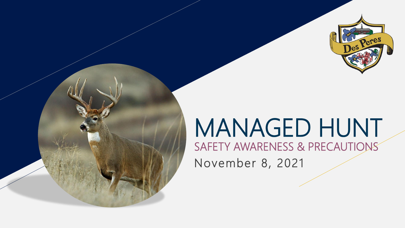

# MANAGED HUNT

SAFETY AWARENESS & PRECAUTIONS November 8, 2021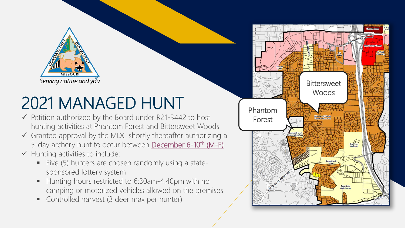

## 2021 MANAGED HUNT

- $\checkmark$  Petition authorized by the Board under R21-3442 to host hunting activities at Phantom Forest and Bittersweet Woods
- $\checkmark$  Granted approval by the MDC shortly thereafter authorizing a 5-day archery hunt to occur between December 6-10<sup>th</sup> (M-F)
- $\checkmark$  Hunting activities to include:
	- Five (5) hunters are chosen randomly using a statesponsored lottery system
	- Hunting hours restricted to 6:30am-4:40pm with no camping or motorized vehicles allowed on the premises
	- **Controlled harvest (3 deer max per hunter)**

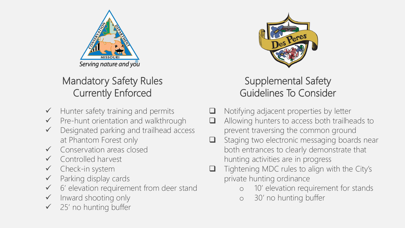

## Mandatory Safety Rules Currently Enforced

- $\checkmark$  Hunter safety training and permits
- $\checkmark$  Pre-hunt orientation and walkthrough
- Designated parking and trailhead access at Phantom Forest only
- Conservation areas closed
- Controlled harvest
- Check-in system
- Parking display cards
- 6' elevation requirement from deer stand
- Inward shooting only
- 25' no hunting buffer



### Supplemental Safety Guidelines To Consider

- Notifying adjacent properties by letter
- Allowing hunters to access both trailheads to prevent traversing the common ground
- $\Box$  Staging two electronic messaging boards near both entrances to clearly demonstrate that hunting activities are in progress
- Tightening MDC rules to align with the City's private hunting ordinance
	- o 10' elevation requirement for stands
	- o 30' no hunting buffer